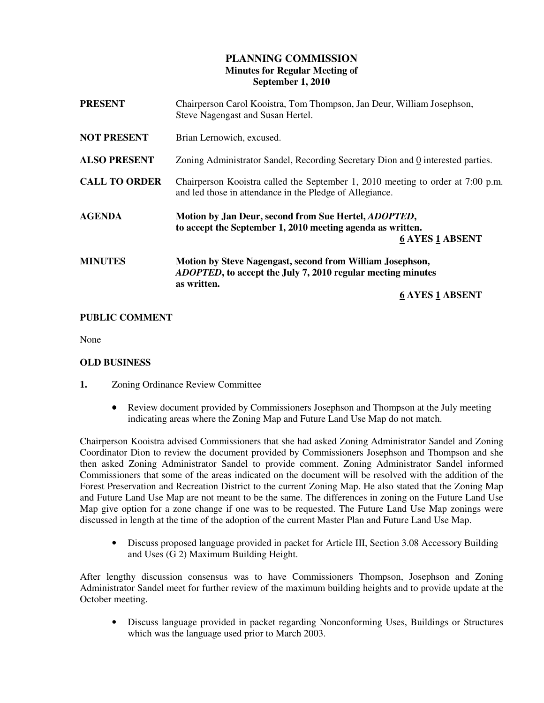# **PLANNING COMMISSION Minutes for Regular Meeting of September 1, 2010**

| <b>PRESENT</b>       | Chairperson Carol Kooistra, Tom Thompson, Jan Deur, William Josephson,<br>Steve Nagengast and Susan Hertel.                                                               |
|----------------------|---------------------------------------------------------------------------------------------------------------------------------------------------------------------------|
| <b>NOT PRESENT</b>   | Brian Lernowich, excused.                                                                                                                                                 |
| <b>ALSO PRESENT</b>  | Zoning Administrator Sandel, Recording Secretary Dion and 0 interested parties.                                                                                           |
| <b>CALL TO ORDER</b> | Chairperson Kooistra called the September 1, 2010 meeting to order at 7:00 p.m.<br>and led those in attendance in the Pledge of Allegiance.                               |
| <b>AGENDA</b>        | Motion by Jan Deur, second from Sue Hertel, <i>ADOPTED</i> ,<br>to accept the September 1, 2010 meeting agenda as written.<br><b>6 AYES 1 ABSENT</b>                      |
| <b>MINUTES</b>       | Motion by Steve Nagengast, second from William Josephson,<br><i>ADOPTED</i> , to accept the July 7, 2010 regular meeting minutes<br>as written.<br><b>6 AYES 1 ABSENT</b> |

## **PUBLIC COMMENT**

None

## **OLD BUSINESS**

- **1.** Zoning Ordinance Review Committee
	- Review document provided by Commissioners Josephson and Thompson at the July meeting indicating areas where the Zoning Map and Future Land Use Map do not match.

Chairperson Kooistra advised Commissioners that she had asked Zoning Administrator Sandel and Zoning Coordinator Dion to review the document provided by Commissioners Josephson and Thompson and she then asked Zoning Administrator Sandel to provide comment. Zoning Administrator Sandel informed Commissioners that some of the areas indicated on the document will be resolved with the addition of the Forest Preservation and Recreation District to the current Zoning Map. He also stated that the Zoning Map and Future Land Use Map are not meant to be the same. The differences in zoning on the Future Land Use Map give option for a zone change if one was to be requested. The Future Land Use Map zonings were discussed in length at the time of the adoption of the current Master Plan and Future Land Use Map.

• Discuss proposed language provided in packet for Article III, Section 3.08 Accessory Building and Uses (G 2) Maximum Building Height.

After lengthy discussion consensus was to have Commissioners Thompson, Josephson and Zoning Administrator Sandel meet for further review of the maximum building heights and to provide update at the October meeting.

• Discuss language provided in packet regarding Nonconforming Uses, Buildings or Structures which was the language used prior to March 2003.